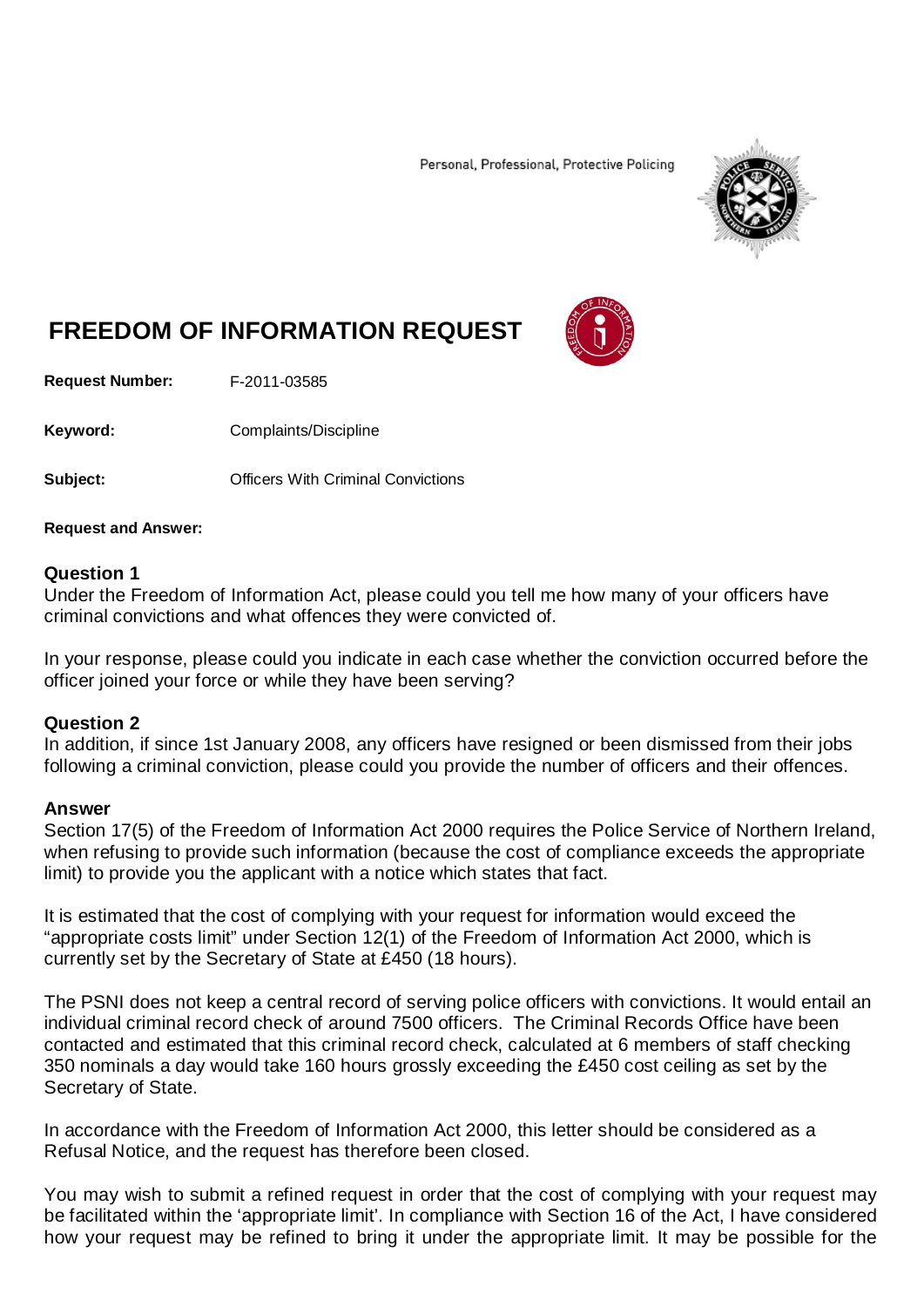Personal, Professional, Protective Policing



# **FREEDOM OF INFORMATION REQUEST**

**Request Number:** F-2011-03585

Keyword: Complaints/Discipline

**Subject: Convictions** Officers With Criminal Convictions

### **Request and Answer:**

## **Question 1**

Under the Freedom of Information Act, please could you tell me how many of your officers have criminal convictions and what offences they were convicted of.

In your response, please could you indicate in each case whether the conviction occurred before the officer joined your force or while they have been serving?

## **Question 2**

In addition, if since 1st January 2008, any officers have resigned or been dismissed from their jobs following a criminal conviction, please could you provide the number of officers and their offences.

## **Answer**

Section 17(5) of the Freedom of Information Act 2000 requires the Police Service of Northern Ireland, when refusing to provide such information (because the cost of compliance exceeds the appropriate limit) to provide you the applicant with a notice which states that fact.

It is estimated that the cost of complying with your request for information would exceed the "appropriate costs limit" under Section 12(1) of the Freedom of Information Act 2000, which is currently set by the Secretary of State at £450 (18 hours).

The PSNI does not keep a central record of serving police officers with convictions. It would entail an individual criminal record check of around 7500 officers. The Criminal Records Office have been contacted and estimated that this criminal record check, calculated at 6 members of staff checking 350 nominals a day would take 160 hours grossly exceeding the £450 cost ceiling as set by the Secretary of State.

In accordance with the Freedom of Information Act 2000, this letter should be considered as a Refusal Notice, and the request has therefore been closed.

You may wish to submit a refined request in order that the cost of complying with your request may be facilitated within the 'appropriate limit'. In compliance with Section 16 of the Act, I have considered how your request may be refined to bring it under the appropriate limit. It may be possible for the